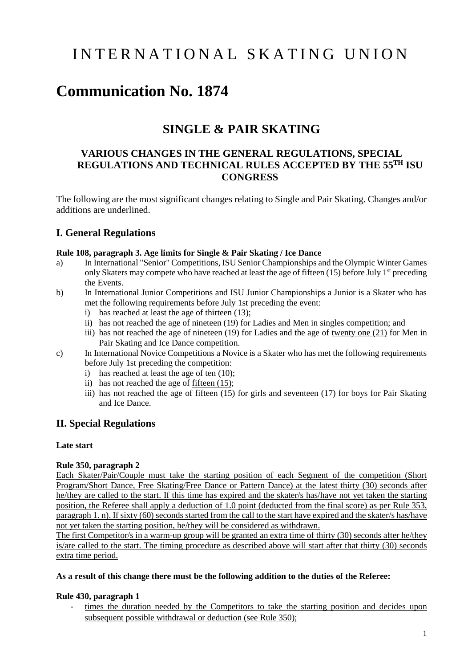# I N T E R N A T I O N A L S K A T I N G U N I O N

## **Communication No. 1874**

## **SINGLE & PAIR SKATING**

## **VARIOUS CHANGES IN THE GENERAL REGULATIONS, SPECIAL REGULATIONS AND TECHNICAL RULES ACCEPTED BY THE 55 TH ISU CONGRESS**

The following are the most significant changes relating to Single and Pair Skating. Changes and/or additions are underlined.

### **I. General Regulations**

#### **Rule 108, paragraph 3. Age limits for Single & Pair Skating / Ice Dance**

- a) In International "Senior" Competitions, ISU Senior Championships and the Olympic Winter Games only Skaters may compete who have reached at least the age of fifteen  $(15)$  before July 1<sup>st</sup> preceding the Events.
- b) In International Junior Competitions and ISU Junior Championships a Junior is a Skater who has met the following requirements before July 1st preceding the event:
	- i) has reached at least the age of thirteen (13);
	- ii) has not reached the age of nineteen (19) for Ladies and Men in singles competition; and
	- iii) has not reached the age of nineteen (19) for Ladies and the age of twenty one (21) for Men in Pair Skating and Ice Dance competition.
- c) In International Novice Competitions a Novice is a Skater who has met the following requirements before July 1st preceding the competition:
	- i) has reached at least the age of ten (10);
	- ii) has not reached the age of fifteen (15);
	- iii) has not reached the age of fifteen (15) for girls and seventeen (17) for boys for Pair Skating and Ice Dance.

### **II. Special Regulations**

#### **Late start**

#### **Rule 350, paragraph 2**

Each Skater/Pair/Couple must take the starting position of each Segment of the competition (Short Program/Short Dance, Free Skating/Free Dance or Pattern Dance) at the latest thirty (30) seconds after he/they are called to the start. If this time has expired and the skater/s has/have not yet taken the starting position, the Referee shall apply a deduction of 1.0 point (deducted from the final score) as per Rule 353, paragraph 1. n). If sixty (60) seconds started from the call to the start have expired and the skater/s has/have not yet taken the starting position, he/they will be considered as withdrawn.

The first Competitor/s in a warm-up group will be granted an extra time of thirty (30) seconds after he/they is/are called to the start. The timing procedure as described above will start after that thirty (30) seconds extra time period.

#### **As a result of this change there must be the following addition to the duties of the Referee:**

#### **Rule 430, paragraph 1**

times the duration needed by the Competitors to take the starting position and decides upon subsequent possible withdrawal or deduction (see Rule 350);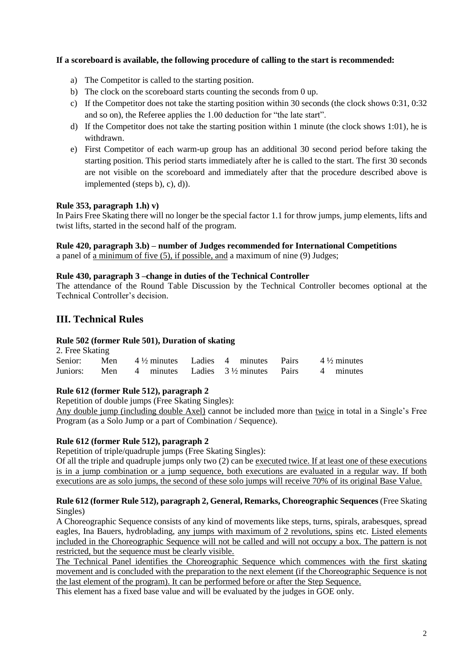#### **If a scoreboard is available, the following procedure of calling to the start is recommended:**

- a) The Competitor is called to the starting position.
- b) The clock on the scoreboard starts counting the seconds from 0 up.
- c) If the Competitor does not take the starting position within 30 seconds (the clock shows 0:31, 0:32 and so on), the Referee applies the 1.00 deduction for "the late start".
- d) If the Competitor does not take the starting position within 1 minute (the clock shows 1:01), he is withdrawn.
- e) First Competitor of each warm-up group has an additional 30 second period before taking the starting position. This period starts immediately after he is called to the start. The first 30 seconds are not visible on the scoreboard and immediately after that the procedure described above is implemented (steps b), c), d)).

#### **Rule 353, paragraph 1.h) v)**

In Pairs Free Skating there will no longer be the special factor 1.1 for throw jumps, jump elements, lifts and twist lifts, started in the second half of the program.

## **Rule 420, paragraph 3.b) – number of Judges recommended for International Competitions**

a panel of a minimum of five (5), if possible, and a maximum of nine (9) Judges;

#### **Rule 430, paragraph 3 –change in duties of the Technical Controller**

The attendance of the Round Table Discussion by the Technical Controller becomes optional at the Technical Controller's decision.

## **III. Technical Rules**

#### **Rule 502 (former Rule 501), Duration of skating**

| 2. Free Skating                                                                  |  |  |  |  |  |  |  |  |  |
|----------------------------------------------------------------------------------|--|--|--|--|--|--|--|--|--|
| Senior: Men $4\frac{1}{2}$ minutes Ladies 4 minutes Pairs $4\frac{1}{2}$ minutes |  |  |  |  |  |  |  |  |  |
| Juniors: Men 4 minutes Ladies $3\frac{1}{2}$ minutes Pairs 4 minutes             |  |  |  |  |  |  |  |  |  |

#### **Rule 612 (former Rule 512), paragraph 2**

Repetition of double jumps (Free Skating Singles):

Any double jump (including double Axel) cannot be included more than twice in total in a Single's Free Program (as a Solo Jump or a part of Combination / Sequence).

#### **Rule 612 (former Rule 512), paragraph 2**

Repetition of triple/quadruple jumps (Free Skating Singles):

Of all the triple and quadruple jumps only two (2) can be executed twice. If at least one of these executions is in a jump combination or a jump sequence, both executions are evaluated in a regular way. If both executions are as solo jumps, the second of these solo jumps will receive 70% of its original Base Value.

#### **Rule 612 (former Rule 512), paragraph 2, General, Remarks, Choreographic Sequences** (Free Skating Singles)

A Choreographic Sequence consists of any kind of movements like steps, turns, spirals, arabesques, spread eagles, Ina Bauers, hydroblading, any jumps with maximum of 2 revolutions, spins etc. Listed elements included in the Choreographic Sequence will not be called and will not occupy a box. The pattern is not restricted, but the sequence must be clearly visible.

The Technical Panel identifies the Choreographic Sequence which commences with the first skating movement and is concluded with the preparation to the next element (if the Choreographic Sequence is not the last element of the program). It can be performed before or after the Step Sequence.

This element has a fixed base value and will be evaluated by the judges in GOE only.